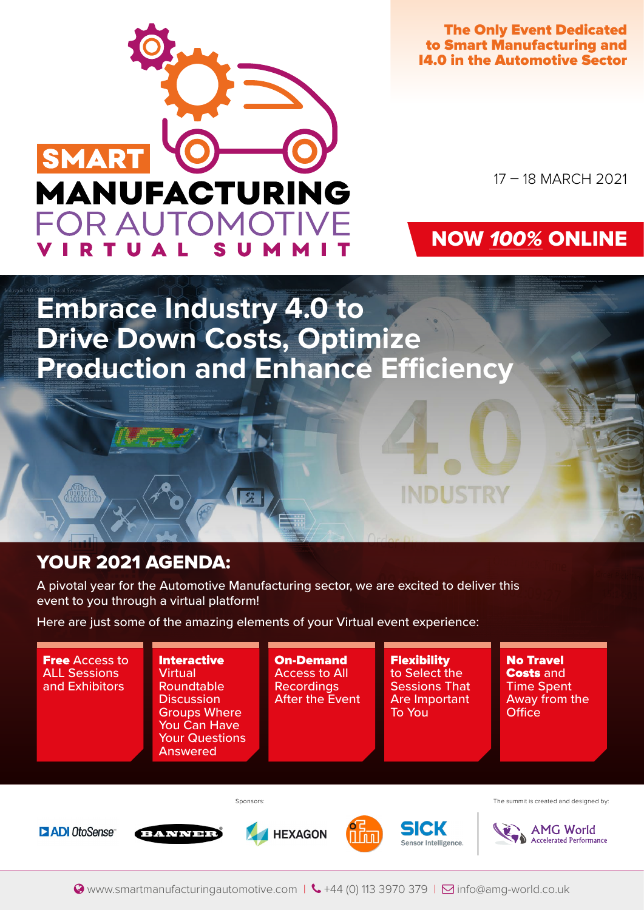

The Only Event Dedicated to Smart Manufacturing and I4.0 in the Automotive Sector

17 – 18 MARCH 2021

## NOW 100% ONLINE

**INDUST** 

**Embrace Industry 4.0 to Drive Down Costs, Optimize Production and Enhance Efficiency**

## YOUR 2021 AGENDA:

A pivotal year for the Automotive Manufacturing sector, we are excited to deliver this event to you through a virtual platform!

Here are just some of the amazing elements of your Virtual event experience:

중

**Free Access to Interactive** On-Demand **Flexibility** No Travel ALL Sessions **Virtual** Access to All to Select the Costs and and Exhibitors Roundtable Recordings Sessions That Time Spent **Discussion** After the Event Are Important Away from the Groups Where To You **Office** You Can Have Your Questions Answered Sponsors: The summit is created and designed by: **SICK AMG World D** ADI OtoSense **HEXAGON ANNE** Accelerated Performance Sensor Intelligence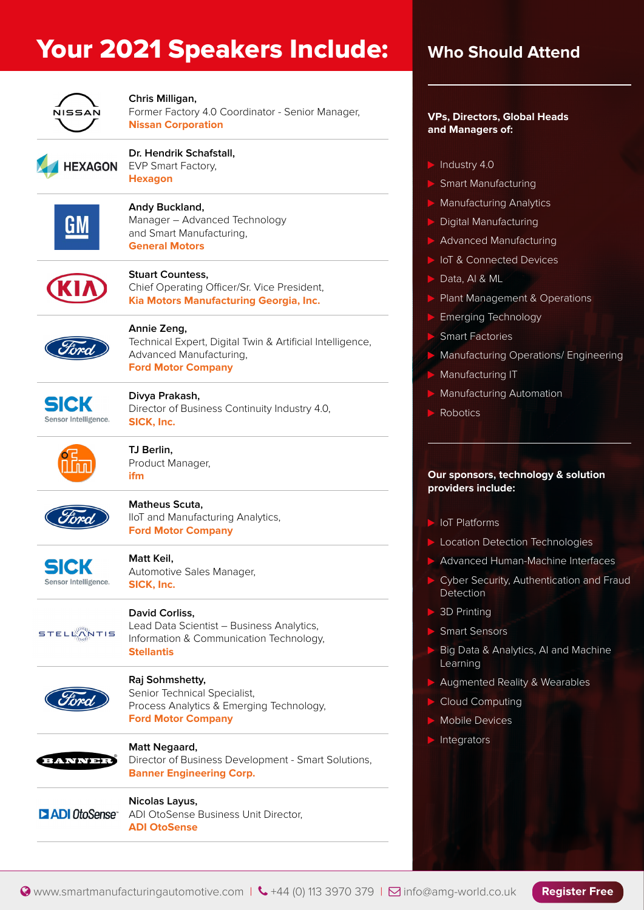## Your 2021 Speakers Include: Who Should Attend



#### **Chris Milligan,**

Former Factory 4.0 Coordinator - Senior Manager, **Nissan Corporation**



#### **Dr. Hendrik Schafstall,** EVP Smart Factory,

**Hexagon**



## **Andy Buckland,**

Manager – Advanced Technology and Smart Manufacturing, **General Motors**



### **Stuart Countess,**

Chief Operating Officer/Sr. Vice President, **Kia Motors Manufacturing Georgia, Inc.**



### **Annie Zeng,**

Technical Expert, Digital Twin & Artificial Intelligence, Advanced Manufacturing, **Ford Motor Company**



### **Divya Prakash,**

Director of Business Continuity Industry 4.0, **SICK, Inc.**



**TJ Berlin,**  Product Manager, **ifm**



## **Matheus Scuta,**

IIoT and Manufacturing Analytics, **Ford Motor Company**



## **Matt Keil,**

Automotive Sales Manager, **SICK, Inc.**



## **David Corliss,**

Lead Data Scientist – Business Analytics, Information & Communication Technology, **Stellantis**



### **Raj Sohmshetty,**

**Nicolas Layus,** 

**ADI OtoSense**

Senior Technical Specialist, Process Analytics & Emerging Technology, **Ford Motor Company**



**Matt Negaard,**  Director of Business Development - Smart Solutions, **Banner Engineering Corp.**

ADI OtoSense Business Unit Director,

**DADI** OtoSense

#### **VPs, Directors, Global Heads and Managers of:**

- $\blacktriangleright$  Industry 4.0
- **Smart Manufacturing**
- **Manufacturing Analytics**
- Digital Manufacturing
- Advanced Manufacturing
- IoT & Connected Devices
- Data, AI & ML
- Plant Management & Operations
- Emerging Technology
- **Smart Factories**
- **Manufacturing Operations/ Engineering**
- Manufacturing IT
- **Manufacturing Automation**
- **Robotics**

#### **Our sponsors, technology & solution providers include:**

- $\blacktriangleright$  IoT Platforms
- Location Detection Technologies
- Advanced Human-Machine Interfaces
- Cyber Security, Authentication and Fraud Detection
- **3D Printing**
- **Smart Sensors**
- Big Data & Analytics, AI and Machine Learning
- Augmented Reality & Wearables
- **Cloud Computing**
- Mobile Devices
- Integrators

**Register Free**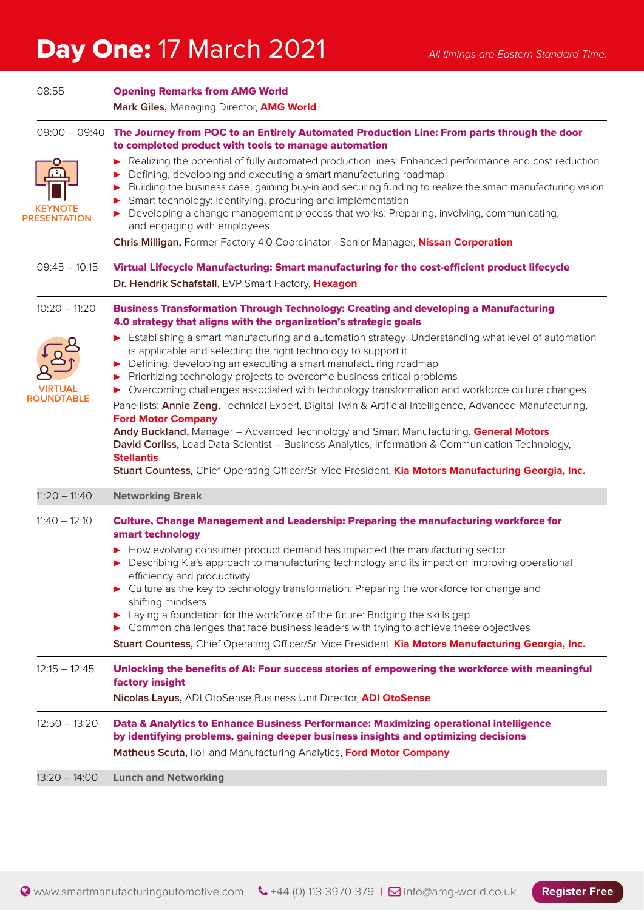# Day One: 17 March 2021 *All timings are Eastern Standard Time.*

| 08:55           | <b>Opening Remarks from AMG World</b><br>Mark Giles, Managing Director, AMG World                                                                                                                                                                                                                                                                                                                                                                                                                                                                                                                                                                                                                                                                                                                                                                                                       |
|-----------------|-----------------------------------------------------------------------------------------------------------------------------------------------------------------------------------------------------------------------------------------------------------------------------------------------------------------------------------------------------------------------------------------------------------------------------------------------------------------------------------------------------------------------------------------------------------------------------------------------------------------------------------------------------------------------------------------------------------------------------------------------------------------------------------------------------------------------------------------------------------------------------------------|
|                 | 09:00 - 09:40 The Journey from POC to an Entirely Automated Production Line: From parts through the door<br>to completed product with tools to manage automation                                                                                                                                                                                                                                                                                                                                                                                                                                                                                                                                                                                                                                                                                                                        |
|                 | Realizing the potential of fully automated production lines: Enhanced performance and cost reduction<br>Defining, developing and executing a smart manufacturing roadmap<br>Building the business case, gaining buy-in and securing funding to realize the smart manufacturing vision<br>Smart technology: Identifying, procuring and implementation<br>> Developing a change management process that works: Preparing, involving, communicating,<br>and engaging with employees                                                                                                                                                                                                                                                                                                                                                                                                        |
|                 | Chris Milligan, Former Factory 4.0 Coordinator - Senior Manager, Nissan Corporation                                                                                                                                                                                                                                                                                                                                                                                                                                                                                                                                                                                                                                                                                                                                                                                                     |
|                 | Virtual Lifecycle Manufacturing: Smart manufacturing for the cost-efficient product lifecycle<br>Dr. Hendrik Schafstall, EVP Smart Factory, Hexagon                                                                                                                                                                                                                                                                                                                                                                                                                                                                                                                                                                                                                                                                                                                                     |
|                 | <b>Business Transformation Through Technology: Creating and developing a Manufacturing</b><br>4.0 strategy that aligns with the organization's strategic goals                                                                                                                                                                                                                                                                                                                                                                                                                                                                                                                                                                                                                                                                                                                          |
| VIRTUAL         | Establishing a smart manufacturing and automation strategy: Understanding what level of automation<br>is applicable and selecting the right technology to support it<br>Defining, developing an executing a smart manufacturing roadmap<br>Prioritizing technology projects to overcome business critical problems<br>▶ Overcoming challenges associated with technology transformation and workforce culture changes<br>Panellists: Annie Zeng, Technical Expert, Digital Twin & Artificial Intelligence, Advanced Manufacturing,<br><b>Ford Motor Company</b><br>Andy Buckland, Manager - Advanced Technology and Smart Manufacturing, General Motors<br>David Corliss, Lead Data Scientist - Business Analytics, Information & Communication Technology,<br><b>Stellantis</b><br>Stuart Countess, Chief Operating Officer/Sr. Vice President, Kia Motors Manufacturing Georgia, Inc. |
| $11:20 - 11:40$ | <b>Networking Break</b>                                                                                                                                                                                                                                                                                                                                                                                                                                                                                                                                                                                                                                                                                                                                                                                                                                                                 |
|                 | Culture, Change Management and Leadership: Preparing the manufacturing workforce for<br>smart technology<br>▶ How evolving consumer product demand has impacted the manufacturing sector<br>Describing Kia's approach to manufacturing technology and its impact on improving operational<br>efficiency and productivity<br>Culture as the key to technology transformation: Preparing the workforce for change and<br>shifting mindsets<br>> Laying a foundation for the workforce of the future: Bridging the skills gap<br>> Common challenges that face business leaders with trying to achieve these objectives<br>Stuart Countess, Chief Operating Officer/Sr. Vice President, Kia Motors Manufacturing Georgia, Inc.                                                                                                                                                             |
|                 | Unlocking the benefits of AI: Four success stories of empowering the workforce with meaningful<br>factory insight<br>Nicolas Layus, ADI OtoSense Business Unit Director, ADI OtoSense                                                                                                                                                                                                                                                                                                                                                                                                                                                                                                                                                                                                                                                                                                   |
|                 | Data & Analytics to Enhance Business Performance: Maximizing operational intelligence<br>by identifying problems, gaining deeper business insights and optimizing decisions<br>Matheus Scuta, IloT and Manufacturing Analytics, Ford Motor Company                                                                                                                                                                                                                                                                                                                                                                                                                                                                                                                                                                                                                                      |
| $13:20 - 14:00$ | <b>Lunch and Networking</b>                                                                                                                                                                                                                                                                                                                                                                                                                                                                                                                                                                                                                                                                                                                                                                                                                                                             |
|                 | FSENTATION<br>$09:45 - 10:15$<br>$10:20 - 11:20$<br>ROUNDTABLE<br>$11:40 - 12:10$<br>$12:15 - 12:45$<br>$12:50 - 13:20$                                                                                                                                                                                                                                                                                                                                                                                                                                                                                                                                                                                                                                                                                                                                                                 |

**Register Free**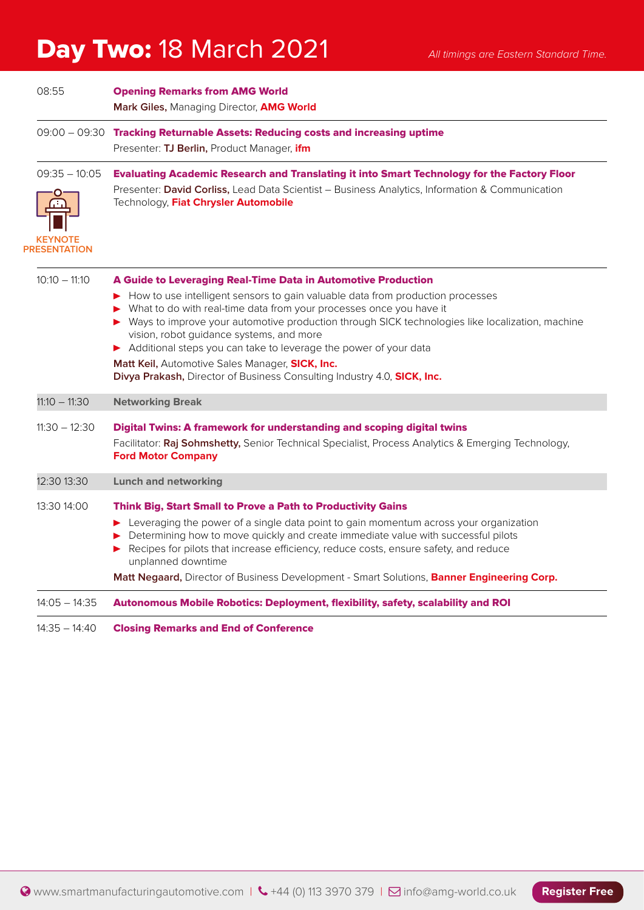## Day Two: 18 March 2021 *All timings are Eastern Standard Time.*

| 08:55                                                    | <b>Opening Remarks from AMG World</b><br>Mark Giles, Managing Director, AMG World                                                                                                                                                             |
|----------------------------------------------------------|-----------------------------------------------------------------------------------------------------------------------------------------------------------------------------------------------------------------------------------------------|
|                                                          | $09:00 - 09:30$ Tracking Returnable Assets: Reducing costs and increasing uptime<br>Presenter: TJ Berlin, Product Manager, ifm                                                                                                                |
| $09:35 - 10:05$<br><b>KEYNOTE</b><br><b>PRESENTATION</b> | <b>Evaluating Academic Research and Translating it into Smart Technology for the Factory Floor</b><br>Presenter: David Corliss, Lead Data Scientist – Business Analytics, Information & Communication<br>Technology. Fiat Chrysler Automobile |
| $10:10 - 11:10$                                          | A Guide to Leveraging Real-Time Data in Automotive Production                                                                                                                                                                                 |

| $14:05 - 14:35$ | Autonomous Mobile Robotics: Deployment, flexibility, safety, scalability and ROI                                                                                                                                                                                                                                                                                                                                                                                                                                |
|-----------------|-----------------------------------------------------------------------------------------------------------------------------------------------------------------------------------------------------------------------------------------------------------------------------------------------------------------------------------------------------------------------------------------------------------------------------------------------------------------------------------------------------------------|
|                 | Matt Negaard, Director of Business Development - Smart Solutions, Banner Engineering Corp.                                                                                                                                                                                                                                                                                                                                                                                                                      |
|                 | Leveraging the power of a single data point to gain momentum across your organization<br>Determining how to move quickly and create immediate value with successful pilots<br>Recipes for pilots that increase efficiency, reduce costs, ensure safety, and reduce<br>unplanned downtime                                                                                                                                                                                                                        |
| 13:30 14:00     | <b>Think Big, Start Small to Prove a Path to Productivity Gains</b>                                                                                                                                                                                                                                                                                                                                                                                                                                             |
| 12:30 13:30     | <b>Lunch and networking</b>                                                                                                                                                                                                                                                                                                                                                                                                                                                                                     |
| $11:30 - 12:30$ | Digital Twins: A framework for understanding and scoping digital twins<br>Facilitator: Raj Sohmshetty, Senior Technical Specialist, Process Analytics & Emerging Technology,<br><b>Ford Motor Company</b>                                                                                                                                                                                                                                                                                                       |
| $11:10 - 11:30$ | <b>Networking Break</b>                                                                                                                                                                                                                                                                                                                                                                                                                                                                                         |
|                 | ► How to use intelligent sensors to gain valuable data from production processes<br>What to do with real-time data from your processes once you have it<br>Ways to improve your automotive production through SICK technologies like localization, machine<br>vision, robot guidance systems, and more<br>Additional steps you can take to leverage the power of your data<br>Matt Keil, Automotive Sales Manager, SICK, Inc.<br><b>Divya Prakash, Director of Business Consulting Industry 4.0, SICK, Inc.</b> |
| 10.IV – II.IV   | A Guiuc to Leveragnig Rear Hine Data in Automotive Frouuction                                                                                                                                                                                                                                                                                                                                                                                                                                                   |

14:35 – 14:40 Closing Remarks and End of Conference

**Register Free**